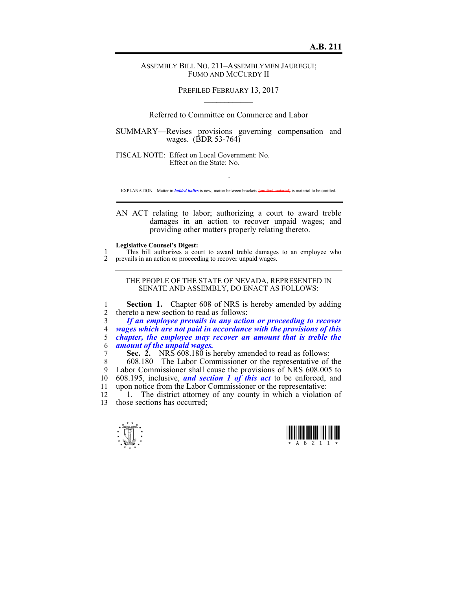## ASSEMBLY BILL NO. 211–ASSEMBLYMEN JAUREGUI; FUMO AND MCCURDY II

PREFILED FEBRUARY 13, 2017  $\mathcal{L}_\text{max}$ 

Referred to Committee on Commerce and Labor

SUMMARY—Revises provisions governing compensation and wages. (BDR 53-764)

FISCAL NOTE: Effect on Local Government: No. Effect on the State: No.

 $\sim$ EXPLANATION – Matter in *bolded italics* is new; matter between brackets **[**omitted material**]** is material to be omitted.

AN ACT relating to labor; authorizing a court to award treble damages in an action to recover unpaid wages; and providing other matters properly relating thereto.

## **Legislative Counsel's Digest:**

1 This bill authorizes a court to award treble damages to an employee who 2 prevails in an action or proceeding to recover unpaid wages.

THE PEOPLE OF THE STATE OF NEVADA, REPRESENTED IN SENATE AND ASSEMBLY, DO ENACT AS FOLLOWS:

1 **Section 1.** Chapter 608 of NRS is hereby amended by adding 2 thereto a new section to read as follows:

*If an employee prevails in any action or proceeding to recover wages which are not paid in accordance with the provisions of this chapter, the employee may recover an amount that is treble the amount of the unpaid wages.* 

7 **Sec. 2.** NRS 608.180 is hereby amended to read as follows:

8 608.180 The Labor Commissioner or the representative of the 9 Labor Commissioner shall cause the provisions of NRS 608.005 to 10 608.195, inclusive, *and section 1 of this act* to be enforced, and 11 upon notice from the Labor Commissioner or the representative:

12 <sup>1</sup> 1. The district attorney of any county in which a violation of 13 those sections has occurred;